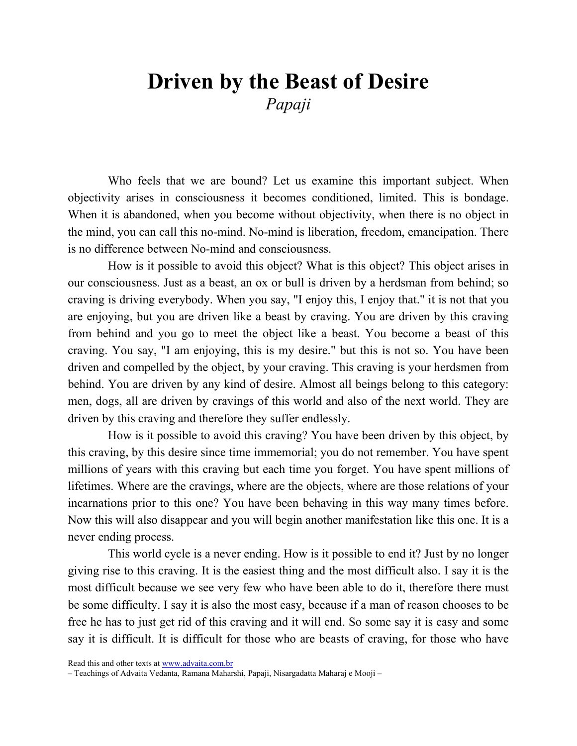## Driven by the Beast of Desire Papaji

Who feels that we are bound? Let us examine this important subject. When objectivity arises in consciousness it becomes conditioned, limited. This is bondage. When it is abandoned, when you become without objectivity, when there is no object in the mind, you can call this no-mind. No-mind is liberation, freedom, emancipation. There is no difference between No-mind and consciousness.

How is it possible to avoid this object? What is this object? This object arises in our consciousness. Just as a beast, an ox or bull is driven by a herdsman from behind; so craving is driving everybody. When you say, "I enjoy this, I enjoy that." it is not that you are enjoying, but you are driven like a beast by craving. You are driven by this craving from behind and you go to meet the object like a beast. You become a beast of this craving. You say, "I am enjoying, this is my desire." but this is not so. You have been driven and compelled by the object, by your craving. This craving is your herdsmen from behind. You are driven by any kind of desire. Almost all beings belong to this category: men, dogs, all are driven by cravings of this world and also of the next world. They are driven by this craving and therefore they suffer endlessly.

How is it possible to avoid this craving? You have been driven by this object, by this craving, by this desire since time immemorial; you do not remember. You have spent millions of years with this craving but each time you forget. You have spent millions of lifetimes. Where are the cravings, where are the objects, where are those relations of your incarnations prior to this one? You have been behaving in this way many times before. Now this will also disappear and you will begin another manifestation like this one. It is a never ending process.

This world cycle is a never ending. How is it possible to end it? Just by no longer giving rise to this craving. It is the easiest thing and the most difficult also. I say it is the most difficult because we see very few who have been able to do it, therefore there must be some difficulty. I say it is also the most easy, because if a man of reason chooses to be free he has to just get rid of this craving and it will end. So some say it is easy and some say it is difficult. It is difficult for those who are beasts of craving, for those who have

Read this and other texts at www.advaita.com.br

<sup>–</sup> Teachings of Advaita Vedanta, Ramana Maharshi, Papaji, Nisargadatta Maharaj e Mooji –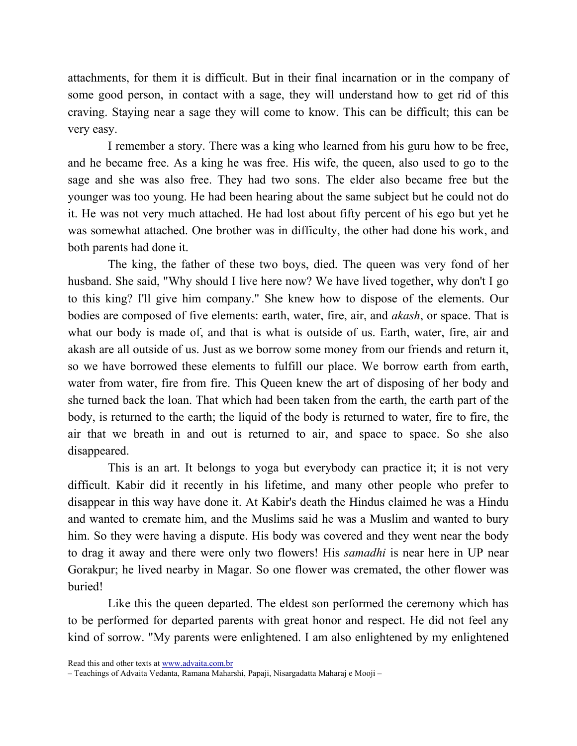attachments, for them it is difficult. But in their final incarnation or in the company of some good person, in contact with a sage, they will understand how to get rid of this craving. Staying near a sage they will come to know. This can be difficult; this can be very easy.

I remember a story. There was a king who learned from his guru how to be free, and he became free. As a king he was free. His wife, the queen, also used to go to the sage and she was also free. They had two sons. The elder also became free but the younger was too young. He had been hearing about the same subject but he could not do it. He was not very much attached. He had lost about fifty percent of his ego but yet he was somewhat attached. One brother was in difficulty, the other had done his work, and both parents had done it.

The king, the father of these two boys, died. The queen was very fond of her husband. She said, "Why should I live here now? We have lived together, why don't I go to this king? I'll give him company." She knew how to dispose of the elements. Our bodies are composed of five elements: earth, water, fire, air, and akash, or space. That is what our body is made of, and that is what is outside of us. Earth, water, fire, air and akash are all outside of us. Just as we borrow some money from our friends and return it, so we have borrowed these elements to fulfill our place. We borrow earth from earth, water from water, fire from fire. This Queen knew the art of disposing of her body and she turned back the loan. That which had been taken from the earth, the earth part of the body, is returned to the earth; the liquid of the body is returned to water, fire to fire, the air that we breath in and out is returned to air, and space to space. So she also disappeared.

This is an art. It belongs to yoga but everybody can practice it; it is not very difficult. Kabir did it recently in his lifetime, and many other people who prefer to disappear in this way have done it. At Kabir's death the Hindus claimed he was a Hindu and wanted to cremate him, and the Muslims said he was a Muslim and wanted to bury him. So they were having a dispute. His body was covered and they went near the body to drag it away and there were only two flowers! His samadhi is near here in UP near Gorakpur; he lived nearby in Magar. So one flower was cremated, the other flower was buried!

Like this the queen departed. The eldest son performed the ceremony which has to be performed for departed parents with great honor and respect. He did not feel any kind of sorrow. "My parents were enlightened. I am also enlightened by my enlightened

Read this and other texts at www.advaita.com.br

<sup>–</sup> Teachings of Advaita Vedanta, Ramana Maharshi, Papaji, Nisargadatta Maharaj e Mooji –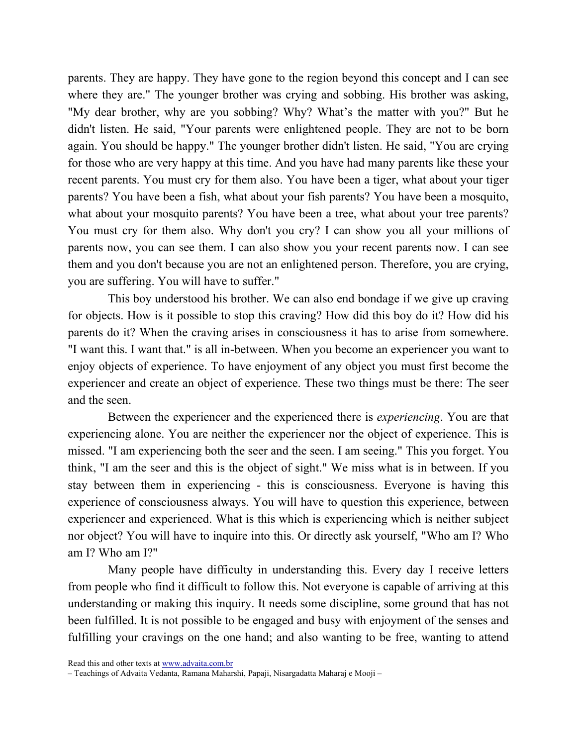parents. They are happy. They have gone to the region beyond this concept and I can see where they are." The younger brother was crying and sobbing. His brother was asking, "My dear brother, why are you sobbing? Why? What's the matter with you?" But he didn't listen. He said, "Your parents were enlightened people. They are not to be born again. You should be happy." The younger brother didn't listen. He said, "You are crying for those who are very happy at this time. And you have had many parents like these your recent parents. You must cry for them also. You have been a tiger, what about your tiger parents? You have been a fish, what about your fish parents? You have been a mosquito, what about your mosquito parents? You have been a tree, what about your tree parents? You must cry for them also. Why don't you cry? I can show you all your millions of parents now, you can see them. I can also show you your recent parents now. I can see them and you don't because you are not an enlightened person. Therefore, you are crying, you are suffering. You will have to suffer."

This boy understood his brother. We can also end bondage if we give up craving for objects. How is it possible to stop this craving? How did this boy do it? How did his parents do it? When the craving arises in consciousness it has to arise from somewhere. "I want this. I want that." is all in-between. When you become an experiencer you want to enjoy objects of experience. To have enjoyment of any object you must first become the experiencer and create an object of experience. These two things must be there: The seer and the seen.

Between the experiencer and the experienced there is experiencing. You are that experiencing alone. You are neither the experiencer nor the object of experience. This is missed. "I am experiencing both the seer and the seen. I am seeing." This you forget. You think, "I am the seer and this is the object of sight." We miss what is in between. If you stay between them in experiencing - this is consciousness. Everyone is having this experience of consciousness always. You will have to question this experience, between experiencer and experienced. What is this which is experiencing which is neither subject nor object? You will have to inquire into this. Or directly ask yourself, "Who am I? Who am I? Who am I?"

Many people have difficulty in understanding this. Every day I receive letters from people who find it difficult to follow this. Not everyone is capable of arriving at this understanding or making this inquiry. It needs some discipline, some ground that has not been fulfilled. It is not possible to be engaged and busy with enjoyment of the senses and fulfilling your cravings on the one hand; and also wanting to be free, wanting to attend

Read this and other texts at www.advaita.com.br

<sup>–</sup> Teachings of Advaita Vedanta, Ramana Maharshi, Papaji, Nisargadatta Maharaj e Mooji –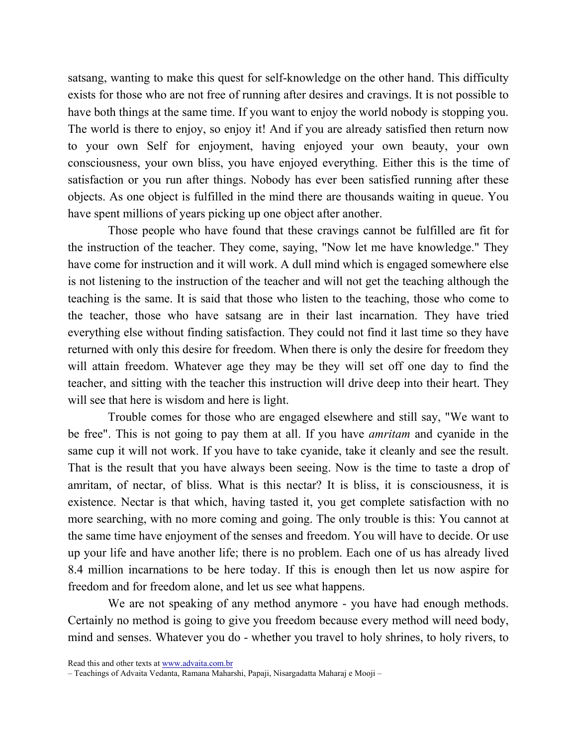satsang, wanting to make this quest for self-knowledge on the other hand. This difficulty exists for those who are not free of running after desires and cravings. It is not possible to have both things at the same time. If you want to enjoy the world nobody is stopping you. The world is there to enjoy, so enjoy it! And if you are already satisfied then return now to your own Self for enjoyment, having enjoyed your own beauty, your own consciousness, your own bliss, you have enjoyed everything. Either this is the time of satisfaction or you run after things. Nobody has ever been satisfied running after these objects. As one object is fulfilled in the mind there are thousands waiting in queue. You have spent millions of years picking up one object after another.

Those people who have found that these cravings cannot be fulfilled are fit for the instruction of the teacher. They come, saying, "Now let me have knowledge." They have come for instruction and it will work. A dull mind which is engaged somewhere else is not listening to the instruction of the teacher and will not get the teaching although the teaching is the same. It is said that those who listen to the teaching, those who come to the teacher, those who have satsang are in their last incarnation. They have tried everything else without finding satisfaction. They could not find it last time so they have returned with only this desire for freedom. When there is only the desire for freedom they will attain freedom. Whatever age they may be they will set off one day to find the teacher, and sitting with the teacher this instruction will drive deep into their heart. They will see that here is wisdom and here is light.

Trouble comes for those who are engaged elsewhere and still say, "We want to be free". This is not going to pay them at all. If you have *amritam* and cyanide in the same cup it will not work. If you have to take cyanide, take it cleanly and see the result. That is the result that you have always been seeing. Now is the time to taste a drop of amritam, of nectar, of bliss. What is this nectar? It is bliss, it is consciousness, it is existence. Nectar is that which, having tasted it, you get complete satisfaction with no more searching, with no more coming and going. The only trouble is this: You cannot at the same time have enjoyment of the senses and freedom. You will have to decide. Or use up your life and have another life; there is no problem. Each one of us has already lived 8.4 million incarnations to be here today. If this is enough then let us now aspire for freedom and for freedom alone, and let us see what happens.

We are not speaking of any method anymore - you have had enough methods. Certainly no method is going to give you freedom because every method will need body, mind and senses. Whatever you do - whether you travel to holy shrines, to holy rivers, to

Read this and other texts at www.advaita.com.br

<sup>–</sup> Teachings of Advaita Vedanta, Ramana Maharshi, Papaji, Nisargadatta Maharaj e Mooji –